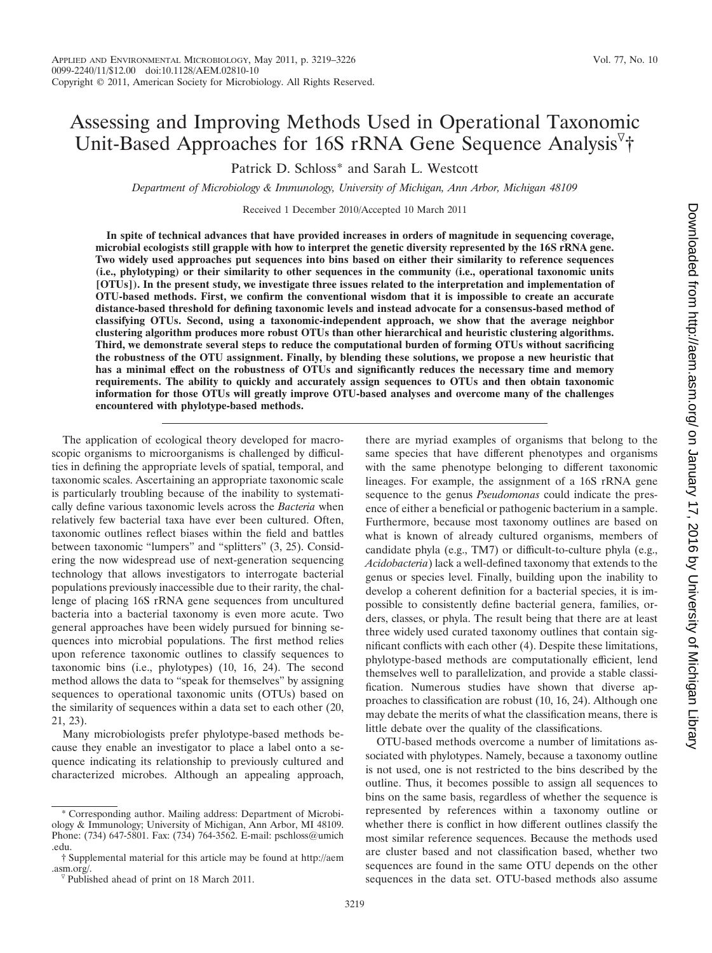# Assessing and Improving Methods Used in Operational Taxonomic Unit-Based Approaches for 16S rRNA Gene Sequence Analysis †

Patrick D. Schloss\* and Sarah L. Westcott

*Department of Microbiology & Immunology, University of Michigan, Ann Arbor, Michigan 48109*

Received 1 December 2010/Accepted 10 March 2011

**In spite of technical advances that have provided increases in orders of magnitude in sequencing coverage, microbial ecologists still grapple with how to interpret the genetic diversity represented by the 16S rRNA gene. Two widely used approaches put sequences into bins based on either their similarity to reference sequences (i.e., phylotyping) or their similarity to other sequences in the community (i.e., operational taxonomic units [OTUs]). In the present study, we investigate three issues related to the interpretation and implementation of OTU-based methods. First, we confirm the conventional wisdom that it is impossible to create an accurate distance-based threshold for defining taxonomic levels and instead advocate for a consensus-based method of classifying OTUs. Second, using a taxonomic-independent approach, we show that the average neighbor clustering algorithm produces more robust OTUs than other hierarchical and heuristic clustering algorithms. Third, we demonstrate several steps to reduce the computational burden of forming OTUs without sacrificing the robustness of the OTU assignment. Finally, by blending these solutions, we propose a new heuristic that has a minimal effect on the robustness of OTUs and significantly reduces the necessary time and memory requirements. The ability to quickly and accurately assign sequences to OTUs and then obtain taxonomic information for those OTUs will greatly improve OTU-based analyses and overcome many of the challenges encountered with phylotype-based methods.**

The application of ecological theory developed for macroscopic organisms to microorganisms is challenged by difficulties in defining the appropriate levels of spatial, temporal, and taxonomic scales. Ascertaining an appropriate taxonomic scale is particularly troubling because of the inability to systematically define various taxonomic levels across the *Bacteria* when relatively few bacterial taxa have ever been cultured. Often, taxonomic outlines reflect biases within the field and battles between taxonomic "lumpers" and "splitters" (3, 25). Considering the now widespread use of next-generation sequencing technology that allows investigators to interrogate bacterial populations previously inaccessible due to their rarity, the challenge of placing 16S rRNA gene sequences from uncultured bacteria into a bacterial taxonomy is even more acute. Two general approaches have been widely pursued for binning sequences into microbial populations. The first method relies upon reference taxonomic outlines to classify sequences to taxonomic bins (i.e., phylotypes) (10, 16, 24). The second method allows the data to "speak for themselves" by assigning sequences to operational taxonomic units (OTUs) based on the similarity of sequences within a data set to each other (20, 21, 23).

Many microbiologists prefer phylotype-based methods because they enable an investigator to place a label onto a sequence indicating its relationship to previously cultured and characterized microbes. Although an appealing approach,

there are myriad examples of organisms that belong to the same species that have different phenotypes and organisms with the same phenotype belonging to different taxonomic lineages. For example, the assignment of a 16S rRNA gene sequence to the genus *Pseudomonas* could indicate the presence of either a beneficial or pathogenic bacterium in a sample. Furthermore, because most taxonomy outlines are based on what is known of already cultured organisms, members of candidate phyla (e.g., TM7) or difficult-to-culture phyla (e.g., *Acidobacteria*) lack a well-defined taxonomy that extends to the genus or species level. Finally, building upon the inability to develop a coherent definition for a bacterial species, it is impossible to consistently define bacterial genera, families, orders, classes, or phyla. The result being that there are at least three widely used curated taxonomy outlines that contain significant conflicts with each other (4). Despite these limitations, phylotype-based methods are computationally efficient, lend themselves well to parallelization, and provide a stable classification. Numerous studies have shown that diverse approaches to classification are robust (10, 16, 24). Although one may debate the merits of what the classification means, there is little debate over the quality of the classifications.

OTU-based methods overcome a number of limitations associated with phylotypes. Namely, because a taxonomy outline is not used, one is not restricted to the bins described by the outline. Thus, it becomes possible to assign all sequences to bins on the same basis, regardless of whether the sequence is represented by references within a taxonomy outline or whether there is conflict in how different outlines classify the most similar reference sequences. Because the methods used are cluster based and not classification based, whether two sequences are found in the same OTU depends on the other sequences in the data set. OTU-based methods also assume

<sup>\*</sup> Corresponding author. Mailing address: Department of Microbiology & Immunology; University of Michigan, Ann Arbor, MI 48109. Phone: (734) 647-5801. Fax: (734) 764-3562. E-mail: pschloss@umich .edu.

<sup>†</sup> Supplemental material for this article may be found at http://aem .asm.org/.<br><sup> $\sqrt{v}$ </sup> Published ahead of print on 18 March 2011.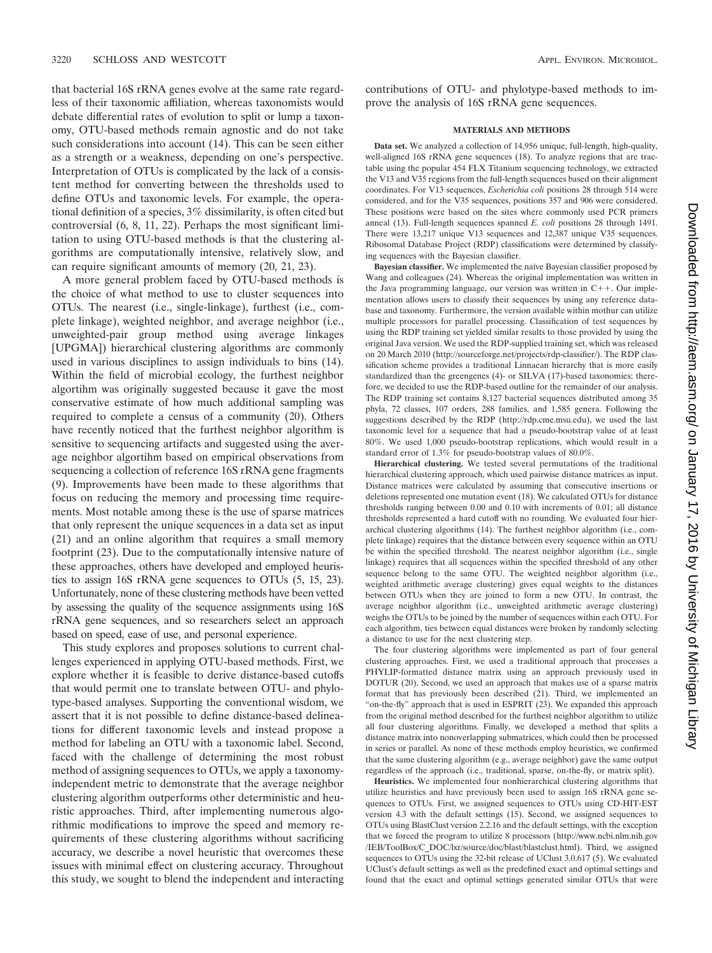that bacterial 16S rRNA genes evolve at the same rate regardless of their taxonomic affiliation, whereas taxonomists would debate differential rates of evolution to split or lump a taxonomy, OTU-based methods remain agnostic and do not take such considerations into account (14). This can be seen either as a strength or a weakness, depending on one's perspective. Interpretation of OTUs is complicated by the lack of a consistent method for converting between the thresholds used to define OTUs and taxonomic levels. For example, the operational definition of a species, 3% dissimilarity, is often cited but controversial (6, 8, 11, 22). Perhaps the most significant limitation to using OTU-based methods is that the clustering algorithms are computationally intensive, relatively slow, and can require significant amounts of memory (20, 21, 23).

A more general problem faced by OTU-based methods is the choice of what method to use to cluster sequences into OTUs. The nearest (i.e., single-linkage), furthest (i.e., complete linkage), weighted neighbor, and average neighbor (i.e., unweighted-pair group method using average linkages [UPGMA]) hierarchical clustering algorithms are commonly used in various disciplines to assign individuals to bins (14). Within the field of microbial ecology, the furthest neighbor algortihm was originally suggested because it gave the most conservative estimate of how much additional sampling was required to complete a census of a community (20). Others have recently noticed that the furthest neighbor algorithm is sensitive to sequencing artifacts and suggested using the average neighbor algortihm based on empirical observations from sequencing a collection of reference 16S rRNA gene fragments (9). Improvements have been made to these algorithms that focus on reducing the memory and processing time requirements. Most notable among these is the use of sparse matrices that only represent the unique sequences in a data set as input (21) and an online algorithm that requires a small memory footprint (23). Due to the computationally intensive nature of these approaches, others have developed and employed heuristics to assign 16S rRNA gene sequences to OTUs (5, 15, 23). Unfortunately, none of these clustering methods have been vetted by assessing the quality of the sequence assignments using 16S rRNA gene sequences, and so researchers select an approach based on speed, ease of use, and personal experience.

This study explores and proposes solutions to current challenges experienced in applying OTU-based methods. First, we explore whether it is feasible to derive distance-based cutoffs that would permit one to translate between OTU- and phylotype-based analyses. Supporting the conventional wisdom, we assert that it is not possible to define distance-based delineations for different taxonomic levels and instead propose a method for labeling an OTU with a taxonomic label. Second, faced with the challenge of determining the most robust method of assigning sequences to OTUs, we apply a taxonomyindependent metric to demonstrate that the average neighbor clustering algorithm outperforms other deterministic and heuristic approaches. Third, after implementing numerous algorithmic modifications to improve the speed and memory requirements of these clustering algorithms without sacrificing accuracy, we describe a novel heuristic that overcomes these issues with minimal effect on clustering accuracy. Throughout this study, we sought to blend the independent and interacting

contributions of OTU- and phylotype-based methods to improve the analysis of 16S rRNA gene sequences.

### **MATERIALS AND METHODS**

**Data set.** We analyzed a collection of 14,956 unique, full-length, high-quality, well-aligned 16S rRNA gene sequences (18). To analyze regions that are tractable using the popular 454 FLX Titanium sequencing technology, we extracted the V13 and V35 regions from the full-length sequences based on their alignment coordinates. For V13 sequences, *Escherichia coli* positions 28 through 514 were considered, and for the V35 sequences, positions 357 and 906 were considered. These positions were based on the sites where commonly used PCR primers anneal (13). Full-length sequences spanned *E. coli* positions 28 through 1491. There were 13,217 unique V13 sequences and 12,387 unique V35 sequences. Ribosomal Database Project (RDP) classifications were determined by classifying sequences with the Bayesian classifier.

**Bayesian classifier.** We implemented the naïve Bayesian classifier proposed by Wang and colleagues (24). Whereas the original implementation was written in the Java programming language, our version was written in  $C++$ . Our implementation allows users to classify their sequences by using any reference database and taxonomy. Furthermore, the version available within mothur can utilize multiple processors for parallel processing. Classification of test sequences by using the RDP training set yielded similar results to those provided by using the original Java version. We used the RDP-supplied training set, which was released on 20 March 2010 (http://sourceforge.net/projects/rdp-classifier/). The RDP classification scheme provides a traditional Linnaean hierarchy that is more easily standardized than the greengenes (4)- or SILVA (17)-based taxonomies; therefore, we decided to use the RDP-based outline for the remainder of our analysis. The RDP training set contains 8,127 bacterial sequences distributed among 35 phyla, 72 classes, 107 orders, 288 families, and 1,585 genera. Following the suggestions described by the RDP (http://rdp.cme.msu.edu), we used the last taxonomic level for a sequence that had a pseudo-bootstrap value of at least 80%. We used 1,000 pseudo-bootstrap replications, which would result in a standard error of 1.3% for pseudo-bootstrap values of 80.0%.

**Hierarchical clustering.** We tested several permutations of the traditional hierarchical clustering approach, which used pairwise distance matrices as input. Distance matrices were calculated by assuming that consecutive insertions or deletions represented one mutation event (18). We calculated OTUs for distance thresholds ranging between 0.00 and 0.10 with increments of 0.01; all distance thresholds represented a hard cutoff with no rounding. We evaluated four hierarchical clustering algorithms (14). The furthest neighbor algorithm (i.e., complete linkage) requires that the distance between every sequence within an OTU be within the specified threshold. The nearest neighbor algorithm (i.e., single linkage) requires that all sequences within the specified threshold of any other sequence belong to the same OTU. The weighted neighbor algorithm (i.e., weighted arithmetic average clustering) gives equal weights to the distances between OTUs when they are joined to form a new OTU. In contrast, the average neighbor algorithm (i.e., unweighted arithmetic average clustering) weighs the OTUs to be joined by the number of sequences within each OTU. For each algorithm, ties between equal distances were broken by randomly selecting a distance to use for the next clustering step.

The four clustering algorithms were implemented as part of four general clustering approaches. First, we used a traditional approach that processes a PHYLIP-formatted distance matrix using an approach previously used in DOTUR (20). Second, we used an approach that makes use of a sparse matrix format that has previously been described (21). Third, we implemented an "on-the-fly" approach that is used in ESPRIT (23). We expanded this approach from the original method described for the furthest neighbor algorithm to utilize all four clustering algorithms. Finally, we developed a method that splits a distance matrix into nonoverlapping submatrices, which could then be processed in series or parallel. As none of these methods employ heuristics, we confirmed that the same clustering algorithm (e.g., average neighbor) gave the same output regardless of the approach (i.e., traditional, sparse, on-the-fly, or matrix split).

**Heuristics.** We implemented four nonhierarchical clustering algorithms that utilize heuristics and have previously been used to assign 16S rRNA gene sequences to OTUs. First, we assigned sequences to OTUs using CD-HIT-EST version 4.3 with the default settings (15). Second, we assigned sequences to OTUs using BlastClust version 2.2.16 and the default settings, with the exception that we forced the program to utilize 8 processors (http://www.ncbi.nlm.nih.gov /IEB/ToolBox/C\_DOC/lxr/source/doc/blast/blastclust.html). Third, we assigned sequences to OTUs using the 32-bit release of UClust 3.0.617 (5). We evaluated UClust's default settings as well as the predefined exact and optimal settings and found that the exact and optimal settings generated similar OTUs that were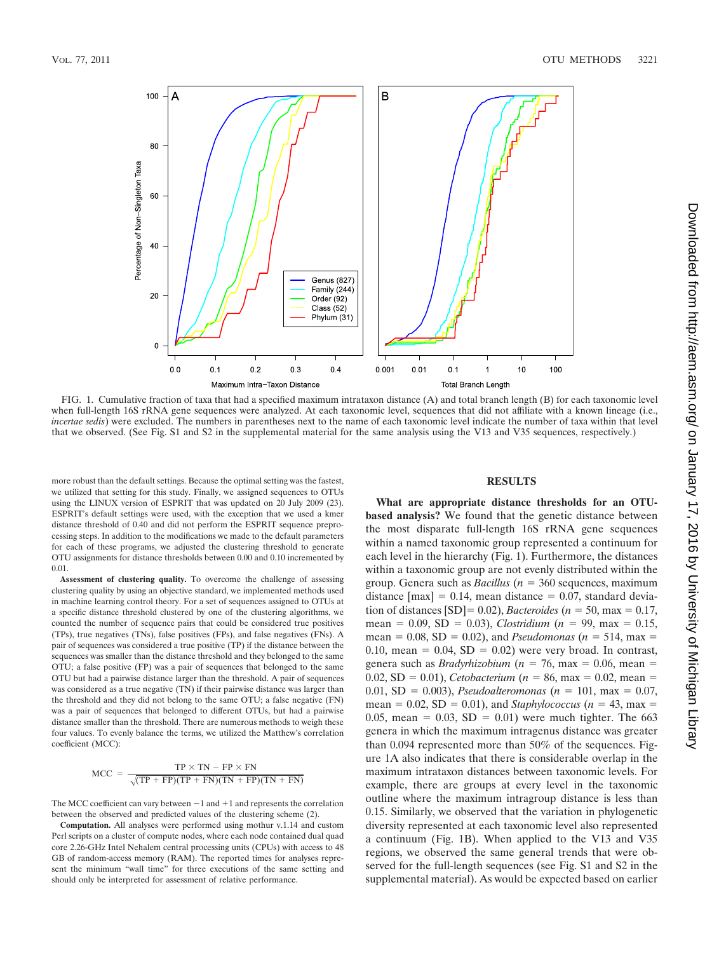

FIG. 1. Cumulative fraction of taxa that had a specified maximum intrataxon distance (A) and total branch length (B) for each taxonomic level when full-length 16S rRNA gene sequences were analyzed. At each taxonomic level, sequences that did not affiliate with a known lineage (i.e., *incertae sedis*) were excluded. The numbers in parentheses next to the name of each taxonomic level indicate the number of taxa within that level that we observed. (See Fig. S1 and S2 in the supplemental material for the same analysis using the V13 and V35 sequences, respectively.)

more robust than the default settings. Because the optimal setting was the fastest, we utilized that setting for this study. Finally, we assigned sequences to OTUs using the LINUX version of ESPRIT that was updated on 20 July 2009 (23). ESPRIT's default settings were used, with the exception that we used a kmer distance threshold of 0.40 and did not perform the ESPRIT sequence preprocessing steps. In addition to the modifications we made to the default parameters for each of these programs, we adjusted the clustering threshold to generate OTU assignments for distance thresholds between 0.00 and 0.10 incremented by 0.01.

**Assessment of clustering quality.** To overcome the challenge of assessing clustering quality by using an objective standard, we implemented methods used in machine learning control theory. For a set of sequences assigned to OTUs at a specific distance threshold clustered by one of the clustering algorithms, we counted the number of sequence pairs that could be considered true positives (TPs), true negatives (TNs), false positives (FPs), and false negatives (FNs). A pair of sequences was considered a true positive (TP) if the distance between the sequences was smaller than the distance threshold and they belonged to the same OTU; a false positive (FP) was a pair of sequences that belonged to the same OTU but had a pairwise distance larger than the threshold. A pair of sequences was considered as a true negative (TN) if their pairwise distance was larger than the threshold and they did not belong to the same OTU; a false negative (FN) was a pair of sequences that belonged to different OTUs, but had a pairwise distance smaller than the threshold. There are numerous methods to weigh these four values. To evenly balance the terms, we utilized the Matthew's correlation coefficient (MCC):

$$
MCC = \frac{TP \times TN - FP \times FN}{\sqrt{(TP + FP)(TP + FN)(TN + FP)(TN + FN)}}
$$

The MCC coefficient can vary between  $-1$  and  $+1$  and represents the correlation between the observed and predicted values of the clustering scheme (2).

**Computation.** All analyses were performed using mothur v.1.14 and custom Perl scripts on a cluster of compute nodes, where each node contained dual quad core 2.26-GHz Intel Nehalem central processing units (CPUs) with access to 48 GB of random-access memory (RAM). The reported times for analyses represent the minimum "wall time" for three executions of the same setting and should only be interpreted for assessment of relative performance.

## **RESULTS**

**What are appropriate distance thresholds for an OTUbased analysis?** We found that the genetic distance between the most disparate full-length 16S rRNA gene sequences within a named taxonomic group represented a continuum for each level in the hierarchy (Fig. 1). Furthermore, the distances within a taxonomic group are not evenly distributed within the group. Genera such as *Bacillus* (*n* 360 sequences, maximum distance  ${\rm [max]} = 0.14$ , mean distance = 0.07, standard deviation of distances [SD] = 0.02), *Bacteroides* ( $n = 50$ , max = 0.17, mean = 0.09, SD = 0.03), *Clostridium* ( $n = 99$ , max = 0.15, mean = 0.08, SD = 0.02), and *Pseudomonas* ( $n = 514$ , max = 0.10, mean  $= 0.04$ , SD  $= 0.02$ ) were very broad. In contrast, genera such as *Bradyrhizobium* ( $n = 76$ , max = 0.06, mean = 0.02, SD = 0.01), *Cetobacterium* ( $n = 86$ , max = 0.02, mean = 0.01, SD = 0.003), *Pseudoalteromonas* ( $n = 101$ , max = 0.07, mean  $= 0.02$ , SD  $= 0.01$ ), and *Staphylococcus* ( $n = 43$ , max  $=$ 0.05, mean = 0.03,  $SD = 0.01$ ) were much tighter. The 663 genera in which the maximum intragenus distance was greater than 0.094 represented more than 50% of the sequences. Figure 1A also indicates that there is considerable overlap in the maximum intrataxon distances between taxonomic levels. For example, there are groups at every level in the taxonomic outline where the maximum intragroup distance is less than 0.15. Similarly, we observed that the variation in phylogenetic diversity represented at each taxonomic level also represented a continuum (Fig. 1B). When applied to the V13 and V35 regions, we observed the same general trends that were observed for the full-length sequences (see Fig. S1 and S2 in the supplemental material). As would be expected based on earlier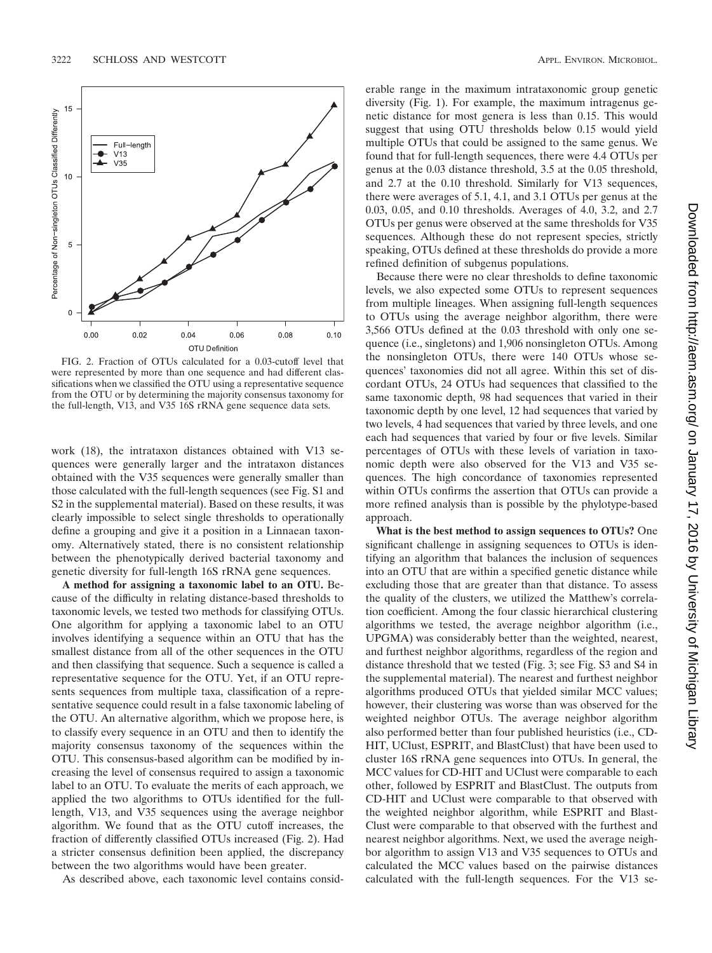

FIG. 2. Fraction of OTUs calculated for a 0.03-cutoff level that were represented by more than one sequence and had different classifications when we classified the OTU using a representative sequence from the OTU or by determining the majority consensus taxonomy for the full-length, V13, and V35 16S rRNA gene sequence data sets.

work (18), the intrataxon distances obtained with V13 sequences were generally larger and the intrataxon distances obtained with the V35 sequences were generally smaller than those calculated with the full-length sequences (see Fig. S1 and S2 in the supplemental material). Based on these results, it was clearly impossible to select single thresholds to operationally define a grouping and give it a position in a Linnaean taxonomy. Alternatively stated, there is no consistent relationship between the phenotypically derived bacterial taxonomy and genetic diversity for full-length 16S rRNA gene sequences.

**A method for assigning a taxonomic label to an OTU.** Because of the difficulty in relating distance-based thresholds to taxonomic levels, we tested two methods for classifying OTUs. One algorithm for applying a taxonomic label to an OTU involves identifying a sequence within an OTU that has the smallest distance from all of the other sequences in the OTU and then classifying that sequence. Such a sequence is called a representative sequence for the OTU. Yet, if an OTU represents sequences from multiple taxa, classification of a representative sequence could result in a false taxonomic labeling of the OTU. An alternative algorithm, which we propose here, is to classify every sequence in an OTU and then to identify the majority consensus taxonomy of the sequences within the OTU. This consensus-based algorithm can be modified by increasing the level of consensus required to assign a taxonomic label to an OTU. To evaluate the merits of each approach, we applied the two algorithms to OTUs identified for the fulllength, V13, and V35 sequences using the average neighbor algorithm. We found that as the OTU cutoff increases, the fraction of differently classified OTUs increased (Fig. 2). Had a stricter consensus definition been applied, the discrepancy between the two algorithms would have been greater.

As described above, each taxonomic level contains consid-

erable range in the maximum intrataxonomic group genetic diversity (Fig. 1). For example, the maximum intragenus genetic distance for most genera is less than 0.15. This would suggest that using OTU thresholds below 0.15 would yield multiple OTUs that could be assigned to the same genus. We found that for full-length sequences, there were 4.4 OTUs per genus at the 0.03 distance threshold, 3.5 at the 0.05 threshold, and 2.7 at the 0.10 threshold. Similarly for V13 sequences, there were averages of 5.1, 4.1, and 3.1 OTUs per genus at the 0.03, 0.05, and 0.10 thresholds. Averages of 4.0, 3.2, and 2.7 OTUs per genus were observed at the same thresholds for V35 sequences. Although these do not represent species, strictly speaking, OTUs defined at these thresholds do provide a more refined definition of subgenus populations.

Because there were no clear thresholds to define taxonomic levels, we also expected some OTUs to represent sequences from multiple lineages. When assigning full-length sequences to OTUs using the average neighbor algorithm, there were 3,566 OTUs defined at the 0.03 threshold with only one sequence (i.e., singletons) and 1,906 nonsingleton OTUs. Among the nonsingleton OTUs, there were 140 OTUs whose sequences' taxonomies did not all agree. Within this set of discordant OTUs, 24 OTUs had sequences that classified to the same taxonomic depth, 98 had sequences that varied in their taxonomic depth by one level, 12 had sequences that varied by two levels, 4 had sequences that varied by three levels, and one each had sequences that varied by four or five levels. Similar percentages of OTUs with these levels of variation in taxonomic depth were also observed for the V13 and V35 sequences. The high concordance of taxonomies represented within OTUs confirms the assertion that OTUs can provide a more refined analysis than is possible by the phylotype-based approach.

**What is the best method to assign sequences to OTUs?** One significant challenge in assigning sequences to OTUs is identifying an algorithm that balances the inclusion of sequences into an OTU that are within a specified genetic distance while excluding those that are greater than that distance. To assess the quality of the clusters, we utilized the Matthew's correlation coefficient. Among the four classic hierarchical clustering algorithms we tested, the average neighbor algorithm (i.e., UPGMA) was considerably better than the weighted, nearest, and furthest neighbor algorithms, regardless of the region and distance threshold that we tested (Fig. 3; see Fig. S3 and S4 in the supplemental material). The nearest and furthest neighbor algorithms produced OTUs that yielded similar MCC values; however, their clustering was worse than was observed for the weighted neighbor OTUs. The average neighbor algorithm also performed better than four published heuristics (i.e., CD-HIT, UClust, ESPRIT, and BlastClust) that have been used to cluster 16S rRNA gene sequences into OTUs. In general, the MCC values for CD-HIT and UClust were comparable to each other, followed by ESPRIT and BlastClust. The outputs from CD-HIT and UClust were comparable to that observed with the weighted neighbor algorithm, while ESPRIT and Blast-Clust were comparable to that observed with the furthest and nearest neighbor algorithms. Next, we used the average neighbor algorithm to assign V13 and V35 sequences to OTUs and calculated the MCC values based on the pairwise distances calculated with the full-length sequences. For the V13 se-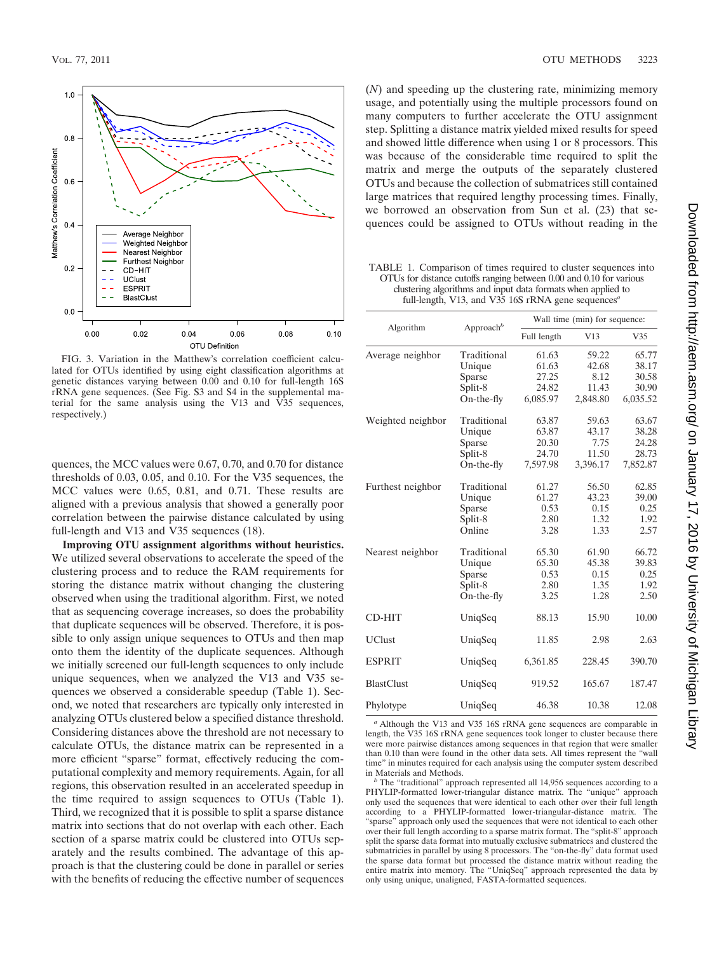

FIG. 3. Variation in the Matthew's correlation coefficient calculated for OTUs identified by using eight classification algorithms at genetic distances varying between 0.00 and 0.10 for full-length 16S rRNA gene sequences. (See Fig. S3 and S4 in the supplemental material for the same analysis using the V13 and V35 sequences, respectively.)

quences, the MCC values were 0.67, 0.70, and 0.70 for distance thresholds of 0.03, 0.05, and 0.10. For the V35 sequences, the MCC values were 0.65, 0.81, and 0.71. These results are aligned with a previous analysis that showed a generally poor correlation between the pairwise distance calculated by using full-length and V13 and V35 sequences (18).

**Improving OTU assignment algorithms without heuristics.** We utilized several observations to accelerate the speed of the clustering process and to reduce the RAM requirements for storing the distance matrix without changing the clustering observed when using the traditional algorithm. First, we noted that as sequencing coverage increases, so does the probability that duplicate sequences will be observed. Therefore, it is possible to only assign unique sequences to OTUs and then map onto them the identity of the duplicate sequences. Although we initially screened our full-length sequences to only include unique sequences, when we analyzed the V13 and V35 sequences we observed a considerable speedup (Table 1). Second, we noted that researchers are typically only interested in analyzing OTUs clustered below a specified distance threshold. Considering distances above the threshold are not necessary to calculate OTUs, the distance matrix can be represented in a more efficient "sparse" format, effectively reducing the computational complexity and memory requirements. Again, for all regions, this observation resulted in an accelerated speedup in the time required to assign sequences to OTUs (Table 1). Third, we recognized that it is possible to split a sparse distance matrix into sections that do not overlap with each other. Each section of a sparse matrix could be clustered into OTUs separately and the results combined. The advantage of this approach is that the clustering could be done in parallel or series with the benefits of reducing the effective number of sequences

(*N*) and speeding up the clustering rate, minimizing memory usage, and potentially using the multiple processors found on many computers to further accelerate the OTU assignment step. Splitting a distance matrix yielded mixed results for speed and showed little difference when using 1 or 8 processors. This was because of the considerable time required to split the matrix and merge the outputs of the separately clustered OTUs and because the collection of submatrices still contained large matrices that required lengthy processing times. Finally, we borrowed an observation from Sun et al. (23) that sequences could be assigned to OTUs without reading in the

TABLE 1. Comparison of times required to cluster sequences into OTUs for distance cutoffs ranging between 0.00 and 0.10 for various clustering algorithms and input data formats when applied to full-length, V13, and V35 16S rRNA gene sequences*<sup>a</sup>*

|                   |                       | Wall time (min) for sequence: |          |          |  |
|-------------------|-----------------------|-------------------------------|----------|----------|--|
| Algorithm         | Approach <sup>b</sup> | Full length                   | V13      | V35      |  |
| Average neighbor  | Traditional           | 61.63                         | 59.22    | 65.77    |  |
|                   | Unique                | 61.63                         | 42.68    | 38.17    |  |
|                   | Sparse                | 27.25                         | 8.12     | 30.58    |  |
|                   | Split-8               | 24.82                         | 11.43    | 30.90    |  |
|                   | On-the-fly            | 6,085.97                      | 2,848.80 | 6,035.52 |  |
| Weighted neighbor | Traditional           | 63.87                         | 59.63    | 63.67    |  |
|                   | Unique                | 63.87                         | 43.17    | 38.28    |  |
|                   | Sparse                | 20.30                         | 7.75     | 24.28    |  |
|                   | Split-8               | 24.70                         | 11.50    | 28.73    |  |
|                   | On-the-fly            | 7,597.98                      | 3,396.17 | 7,852.87 |  |
| Furthest neighbor | Traditional           | 61.27                         | 56.50    | 62.85    |  |
|                   | Unique                | 61.27                         | 43.23    | 39.00    |  |
|                   | Sparse                | 0.53                          | 0.15     | 0.25     |  |
|                   | Split-8               | 2.80                          | 1.32     | 1.92     |  |
|                   | Online                | 3.28                          | 1.33     | 2.57     |  |
| Nearest neighbor  | Traditional           | 65.30                         | 61.90    | 66.72    |  |
|                   | Unique                | 65.30                         | 45.38    | 39.83    |  |
|                   | Sparse                | 0.53                          | 0.15     | 0.25     |  |
|                   | Split-8               | 2.80                          | 1.35     | 1.92     |  |
|                   | On-the-fly            | 3.25                          | 1.28     | 2.50     |  |
| <b>CD-HIT</b>     | UniqSeq               | 88.13                         | 15.90    | 10.00    |  |
| <b>UClust</b>     | UniqSeq               | 11.85                         | 2.98     | 2.63     |  |
| <b>ESPRIT</b>     | UniqSeq               | 6,361.85                      | 228.45   | 390.70   |  |
| <b>BlastClust</b> | UniqSeq               | 919.52                        | 165.67   | 187.47   |  |
| Phylotype         | UniqSeq               | 46.38                         | 10.38    | 12.08    |  |

*<sup>a</sup>* Although the V13 and V35 16S rRNA gene sequences are comparable in length, the V35 16S rRNA gene sequences took longer to cluster because there were more pairwise distances among sequences in that region that were smaller than 0.10 than were found in the other data sets. All times represent the "wall time" in minutes required for each analysis using the computer system described

in Materials and Methods. *<sup>b</sup>* The "traditional" approach represented all 14,956 sequences according to a PHYLIP-formatted lower-triangular distance matrix. The "unique" approach only used the sequences that were identical to each other over their full length according to a PHYLIP-formatted lower-triangular-distance matrix. The "sparse" approach only used the sequences that were not identical to each other over their full length according to a sparse matrix format. The "split-8" approach split the sparse data format into mutually exclusive submatrices and clustered the submatricies in parallel by using 8 processors. The "on-the-fly" data format used the sparse data format but processed the distance matrix without reading the entire matrix into memory. The "UniqSeq" approach represented the data by only using unique, unaligned, FASTA-formatted sequences.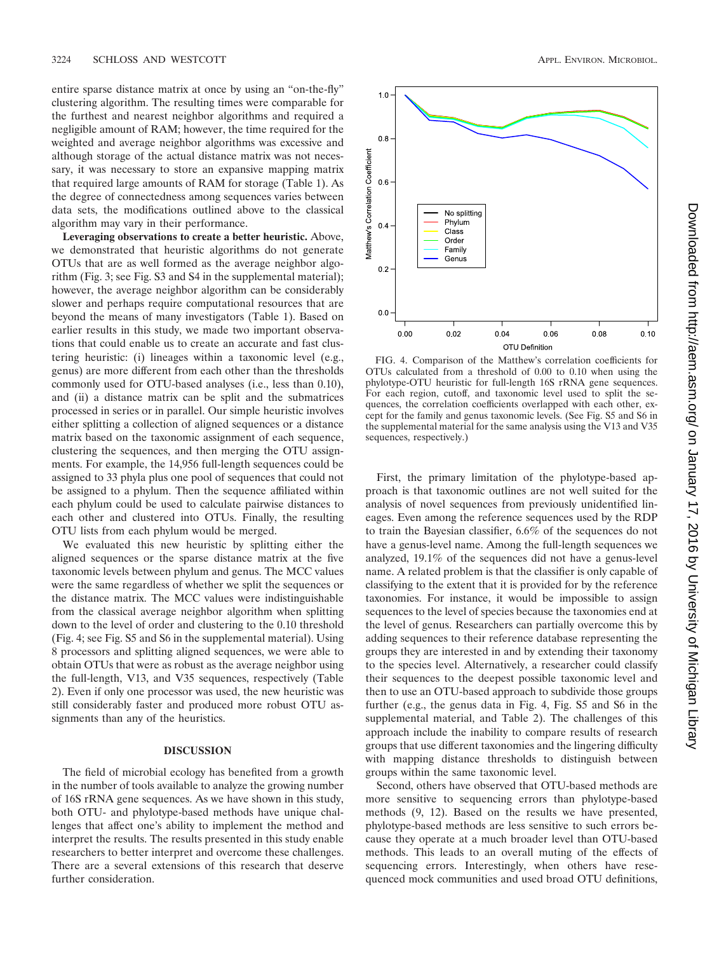entire sparse distance matrix at once by using an "on-the-fly" clustering algorithm. The resulting times were comparable for the furthest and nearest neighbor algorithms and required a negligible amount of RAM; however, the time required for the weighted and average neighbor algorithms was excessive and although storage of the actual distance matrix was not necessary, it was necessary to store an expansive mapping matrix that required large amounts of RAM for storage (Table 1). As the degree of connectedness among sequences varies between data sets, the modifications outlined above to the classical algorithm may vary in their performance.

**Leveraging observations to create a better heuristic.** Above, we demonstrated that heuristic algorithms do not generate OTUs that are as well formed as the average neighbor algorithm (Fig. 3; see Fig. S3 and S4 in the supplemental material); however, the average neighbor algorithm can be considerably slower and perhaps require computational resources that are beyond the means of many investigators (Table 1). Based on earlier results in this study, we made two important observations that could enable us to create an accurate and fast clustering heuristic: (i) lineages within a taxonomic level (e.g., genus) are more different from each other than the thresholds commonly used for OTU-based analyses (i.e., less than 0.10), and (ii) a distance matrix can be split and the submatrices processed in series or in parallel. Our simple heuristic involves either splitting a collection of aligned sequences or a distance matrix based on the taxonomic assignment of each sequence, clustering the sequences, and then merging the OTU assignments. For example, the 14,956 full-length sequences could be assigned to 33 phyla plus one pool of sequences that could not be assigned to a phylum. Then the sequence affiliated within each phylum could be used to calculate pairwise distances to each other and clustered into OTUs. Finally, the resulting OTU lists from each phylum would be merged.

We evaluated this new heuristic by splitting either the aligned sequences or the sparse distance matrix at the five taxonomic levels between phylum and genus. The MCC values were the same regardless of whether we split the sequences or the distance matrix. The MCC values were indistinguishable from the classical average neighbor algorithm when splitting down to the level of order and clustering to the 0.10 threshold (Fig. 4; see Fig. S5 and S6 in the supplemental material). Using 8 processors and splitting aligned sequences, we were able to obtain OTUs that were as robust as the average neighbor using the full-length, V13, and V35 sequences, respectively (Table 2). Even if only one processor was used, the new heuristic was still considerably faster and produced more robust OTU assignments than any of the heuristics.

## **DISCUSSION**

The field of microbial ecology has benefited from a growth in the number of tools available to analyze the growing number of 16S rRNA gene sequences. As we have shown in this study, both OTU- and phylotype-based methods have unique challenges that affect one's ability to implement the method and interpret the results. The results presented in this study enable researchers to better interpret and overcome these challenges. There are a several extensions of this research that deserve further consideration.



FIG. 4. Comparison of the Matthew's correlation coefficients for OTUs calculated from a threshold of 0.00 to 0.10 when using the phylotype-OTU heuristic for full-length 16S rRNA gene sequences. For each region, cutoff, and taxonomic level used to split the sequences, the correlation coefficients overlapped with each other, except for the family and genus taxonomic levels. (See Fig. S5 and S6 in the supplemental material for the same analysis using the V13 and V35 sequences, respectively.)

First, the primary limitation of the phylotype-based approach is that taxonomic outlines are not well suited for the analysis of novel sequences from previously unidentified lineages. Even among the reference sequences used by the RDP to train the Bayesian classifier, 6.6% of the sequences do not have a genus-level name. Among the full-length sequences we analyzed, 19.1% of the sequences did not have a genus-level name. A related problem is that the classifier is only capable of classifying to the extent that it is provided for by the reference taxonomies. For instance, it would be impossible to assign sequences to the level of species because the taxonomies end at the level of genus. Researchers can partially overcome this by adding sequences to their reference database representing the groups they are interested in and by extending their taxonomy to the species level. Alternatively, a researcher could classify their sequences to the deepest possible taxonomic level and then to use an OTU-based approach to subdivide those groups further (e.g., the genus data in Fig. 4, Fig. S5 and S6 in the supplemental material, and Table 2). The challenges of this approach include the inability to compare results of research groups that use different taxonomies and the lingering difficulty with mapping distance thresholds to distinguish between groups within the same taxonomic level.

Second, others have observed that OTU-based methods are more sensitive to sequencing errors than phylotype-based methods (9, 12). Based on the results we have presented, phylotype-based methods are less sensitive to such errors because they operate at a much broader level than OTU-based methods. This leads to an overall muting of the effects of sequencing errors. Interestingly, when others have resequenced mock communities and used broad OTU definitions,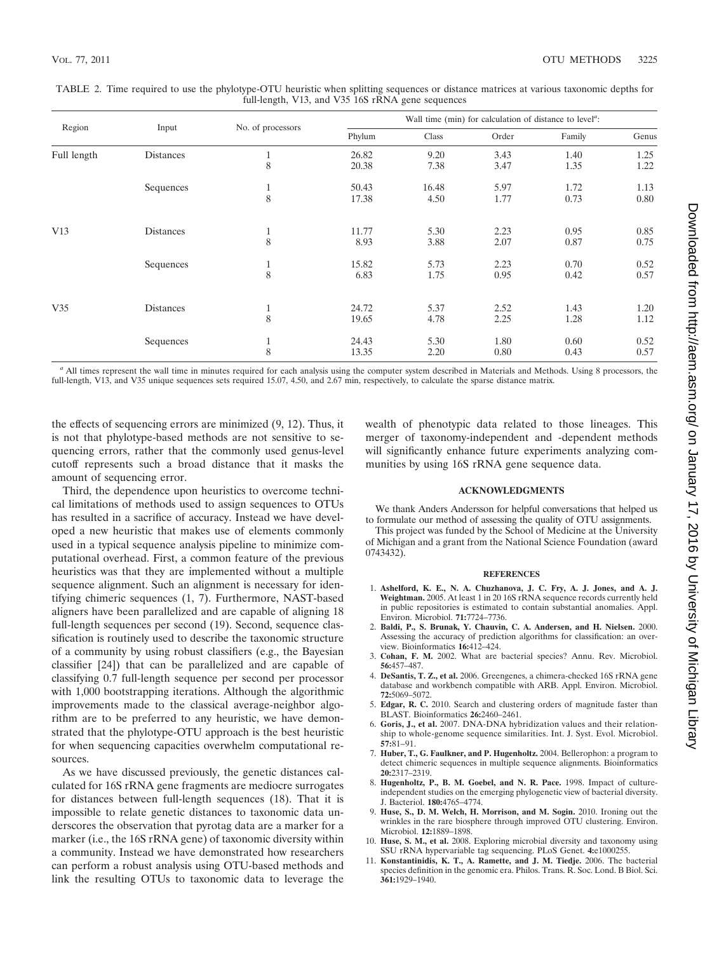| TABLE 2. Time required to use the phylotype-OTU heuristic when splitting sequences or distance matrices at various taxonomic depths for |  |  |
|-----------------------------------------------------------------------------------------------------------------------------------------|--|--|
| full-length, V13, and V35 16S rRNA gene sequences                                                                                       |  |  |

|             |                  |                   | Wall time (min) for calculation of distance to level <sup>a</sup> : |       |       |                                                      |       |
|-------------|------------------|-------------------|---------------------------------------------------------------------|-------|-------|------------------------------------------------------|-------|
| Region      | Input            | No. of processors | Phylum                                                              | Class | Order | Family                                               | Genus |
| Full length | Distances        |                   | 26.82                                                               | 9.20  | 3.43  | 1.40                                                 | 1.25  |
|             |                  | 8                 | 20.38                                                               | 7.38  | 3.47  | 1.35<br>1.72<br>0.73<br>0.95<br>0.87<br>0.70<br>0.42 | 1.22  |
|             | Sequences        | Τ.                | 50.43                                                               | 16.48 | 5.97  |                                                      | 1.13  |
|             |                  | 8                 | 17.38                                                               | 4.50  | 1.77  |                                                      | 0.80  |
| V13         | <b>Distances</b> | T.                | 11.77                                                               | 5.30  | 2.23  |                                                      | 0.85  |
|             |                  | 8                 | 8.93                                                                | 3.88  | 2.07  | 1.43<br>1.28<br>0.60<br>0.43                         | 0.75  |
|             | Sequences        | 1                 | 15.82                                                               | 5.73  | 2.23  |                                                      | 0.52  |
|             |                  | 8                 | 6.83                                                                | 1.75  | 0.95  |                                                      | 0.57  |
| V35         | <b>Distances</b> |                   | 24.72                                                               | 5.37  | 2.52  |                                                      | 1.20  |
|             |                  | 1<br>8            | 19.65                                                               | 4.78  | 2.25  |                                                      | 1.12  |
|             | Sequences        | $\pm$             | 24.43                                                               | 5.30  | 1.80  |                                                      | 0.52  |
|             |                  | 8                 | 13.35                                                               | 2.20  | 0.80  |                                                      | 0.57  |

*<sup>a</sup>* All times represent the wall time in minutes required for each analysis using the computer system described in Materials and Methods. Using 8 processors, the full-length, V13, and V35 unique sequences sets required 15.07, 4.50, and 2.67 min, respectively, to calculate the sparse distance matrix.

the effects of sequencing errors are minimized (9, 12). Thus, it is not that phylotype-based methods are not sensitive to sequencing errors, rather that the commonly used genus-level cutoff represents such a broad distance that it masks the amount of sequencing error.

Third, the dependence upon heuristics to overcome technical limitations of methods used to assign sequences to OTUs has resulted in a sacrifice of accuracy. Instead we have developed a new heuristic that makes use of elements commonly used in a typical sequence analysis pipeline to minimize computational overhead. First, a common feature of the previous heuristics was that they are implemented without a multiple sequence alignment. Such an alignment is necessary for identifying chimeric sequences (1, 7). Furthermore, NAST-based aligners have been parallelized and are capable of aligning 18 full-length sequences per second (19). Second, sequence classification is routinely used to describe the taxonomic structure of a community by using robust classifiers (e.g., the Bayesian classifier [24]) that can be parallelized and are capable of classifying 0.7 full-length sequence per second per processor with 1,000 bootstrapping iterations. Although the algorithmic improvements made to the classical average-neighbor algorithm are to be preferred to any heuristic, we have demonstrated that the phylotype-OTU approach is the best heuristic for when sequencing capacities overwhelm computational resources.

As we have discussed previously, the genetic distances calculated for 16S rRNA gene fragments are mediocre surrogates for distances between full-length sequences (18). That it is impossible to relate genetic distances to taxonomic data underscores the observation that pyrotag data are a marker for a marker (i.e., the 16S rRNA gene) of taxonomic diversity within a community. Instead we have demonstrated how researchers can perform a robust analysis using OTU-based methods and link the resulting OTUs to taxonomic data to leverage the

wealth of phenotypic data related to those lineages. This merger of taxonomy-independent and -dependent methods will significantly enhance future experiments analyzing communities by using 16S rRNA gene sequence data.

#### **ACKNOWLEDGMENTS**

We thank Anders Andersson for helpful conversations that helped us to formulate our method of assessing the quality of OTU assignments.

This project was funded by the School of Medicine at the University of Michigan and a grant from the National Science Foundation (award 0743432).

#### **REFERENCES**

- 1. **Ashelford, K. E., N. A. Chuzhanova, J. C. Fry, A. J. Jones, and A. J. Weightman.** 2005. At least 1 in 20 16S rRNA sequence records currently held in public repositories is estimated to contain substantial anomalies. Appl. Environ. Microbiol. **71:**7724–7736.
- 2. **Baldi, P., S. Brunak, Y. Chauvin, C. A. Andersen, and H. Nielsen.** 2000. Assessing the accuracy of prediction algorithms for classification: an over-view. Bioinformatics **16:**412–424.
- 3. **Cohan, F. M.** 2002. What are bacterial species? Annu. Rev. Microbiol. **56:**457–487.
- 4. **DeSantis, T. Z., et al.** 2006. Greengenes, a chimera-checked 16S rRNA gene database and workbench compatible with ARB. Appl. Environ. Microbiol. **72:**5069–5072.
- 5. **Edgar, R. C.** 2010. Search and clustering orders of magnitude faster than BLAST. Bioinformatics **26:**2460–2461.
- 6. **Goris, J., et al.** 2007. DNA-DNA hybridization values and their relationship to whole-genome sequence similarities. Int. J. Syst. Evol. Microbiol. **57:**81–91.
- 7. **Huber, T., G. Faulkner, and P. Hugenholtz.** 2004. Bellerophon: a program to detect chimeric sequences in multiple sequence alignments. Bioinformatics **20:**2317–2319.
- 8. **Hugenholtz, P., B. M. Goebel, and N. R. Pace.** 1998. Impact of cultureindependent studies on the emerging phylogenetic view of bacterial diversity. J. Bacteriol. **180:**4765–4774.
- 9. **Huse, S., D. M. Welch, H. Morrison, and M. Sogin.** 2010. Ironing out the wrinkles in the rare biosphere through improved OTU clustering. Environ. Microbiol. **12:**1889–1898.
- 10. **Huse, S. M., et al.** 2008. Exploring microbial diversity and taxonomy using SSU rRNA hypervariable tag sequencing. PLoS Genet. **4:**e1000255.
- 11. **Konstantinidis, K. T., A. Ramette, and J. M. Tiedje.** 2006. The bacterial species definition in the genomic era. Philos. Trans. R. Soc. Lond. B Biol. Sci. **361:**1929–1940.